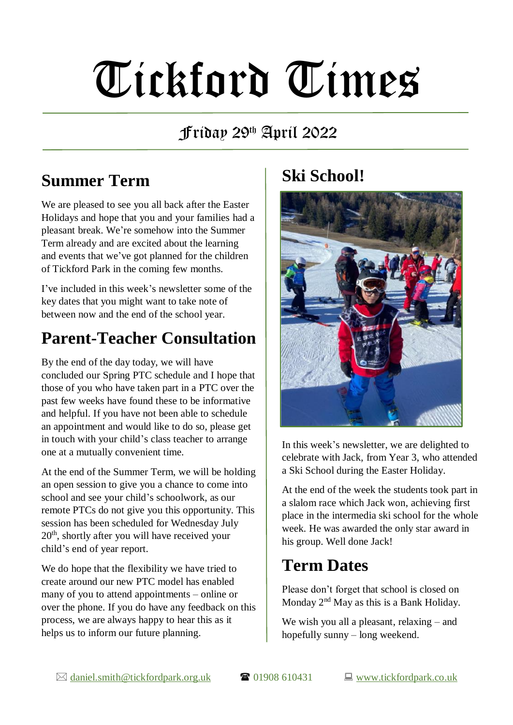# Tickford Times

#### Friday 29th April 2022

### **Summer Term**

We are pleased to see you all back after the Easter Holidays and hope that you and your families had a pleasant break. We're somehow into the Summer Term already and are excited about the learning and events that we've got planned for the children of Tickford Park in the coming few months.

I've included in this week's newsletter some of the key dates that you might want to take note of between now and the end of the school year.

#### **Parent-Teacher Consultation**

By the end of the day today, we will have concluded our Spring PTC schedule and I hope that those of you who have taken part in a PTC over the past few weeks have found these to be informative and helpful. If you have not been able to schedule an appointment and would like to do so, please get in touch with your child's class teacher to arrange one at a mutually convenient time.

At the end of the Summer Term, we will be holding an open session to give you a chance to come into school and see your child's schoolwork, as our remote PTCs do not give you this opportunity. This session has been scheduled for Wednesday July 20th, shortly after you will have received your child's end of year report.

We do hope that the flexibility we have tried to create around our new PTC model has enabled many of you to attend appointments – online or over the phone. If you do have any feedback on this process, we are always happy to hear this as it helps us to inform our future planning.

#### **Ski School!**



In this week's newsletter, we are delighted to celebrate with Jack, from Year 3, who attended a Ski School during the Easter Holiday.

At the end of the week the students took part in a slalom race which Jack won, achieving first place in the intermedia ski school for the whole week. He was awarded the only star award in his group. Well done Jack!

#### **Term Dates**

Please don't forget that school is closed on Monday  $2<sup>nd</sup>$  May as this is a Bank Holiday.

We wish you all a pleasant, relaxing – and hopefully sunny – long weekend.